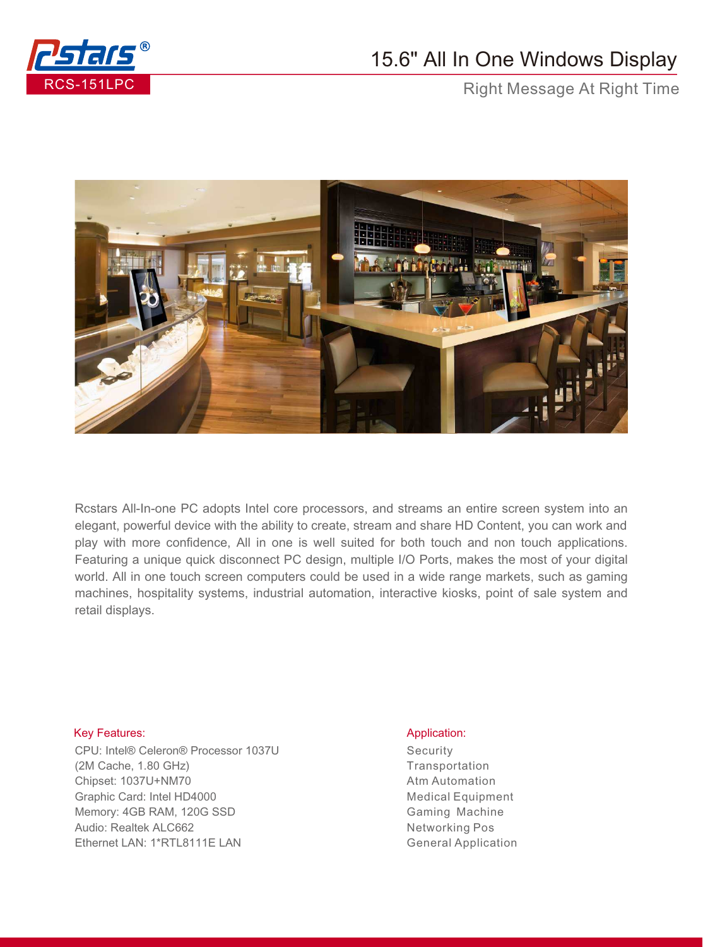

## 15.6" All In One Windows Display

Right Message At Right Time



Rcstars All-In-one PC adopts Intel core processors, and streams an entire screen system into an elegant, powerful device with the ability to create, stream and share HD Content, you can work and play with more confidence, All in one is well suited for both touch and non touch applications. Featuring a unique quick disconnect PC design, multiple I/O Ports, makes the most of your digital world. All in one touch screen computers could be used in a wide range markets, such as gaming machines, hospitality systems, industrial automation, interactive kiosks, point of sale system and retail displays.

## Key Features: Application: Application: Application: Application: Application: Application: Application: Application: Application: Application: Application: Application: Application: Application: Application: Application:

CPU: Intel® Celeron® Processor 1037U (2M Cache, 1.80 GHz) Chipset: 1037U+NM70 Graphic Card: Intel HD4000 Memory: 4GB RAM, 120G SSD Audio: Realtek ALC662 Ethernet LAN: 1\*RTL8111E LAN

**Security Transportation** Atm Automation Medical Equipment Gaming Machine Networking Pos General Application